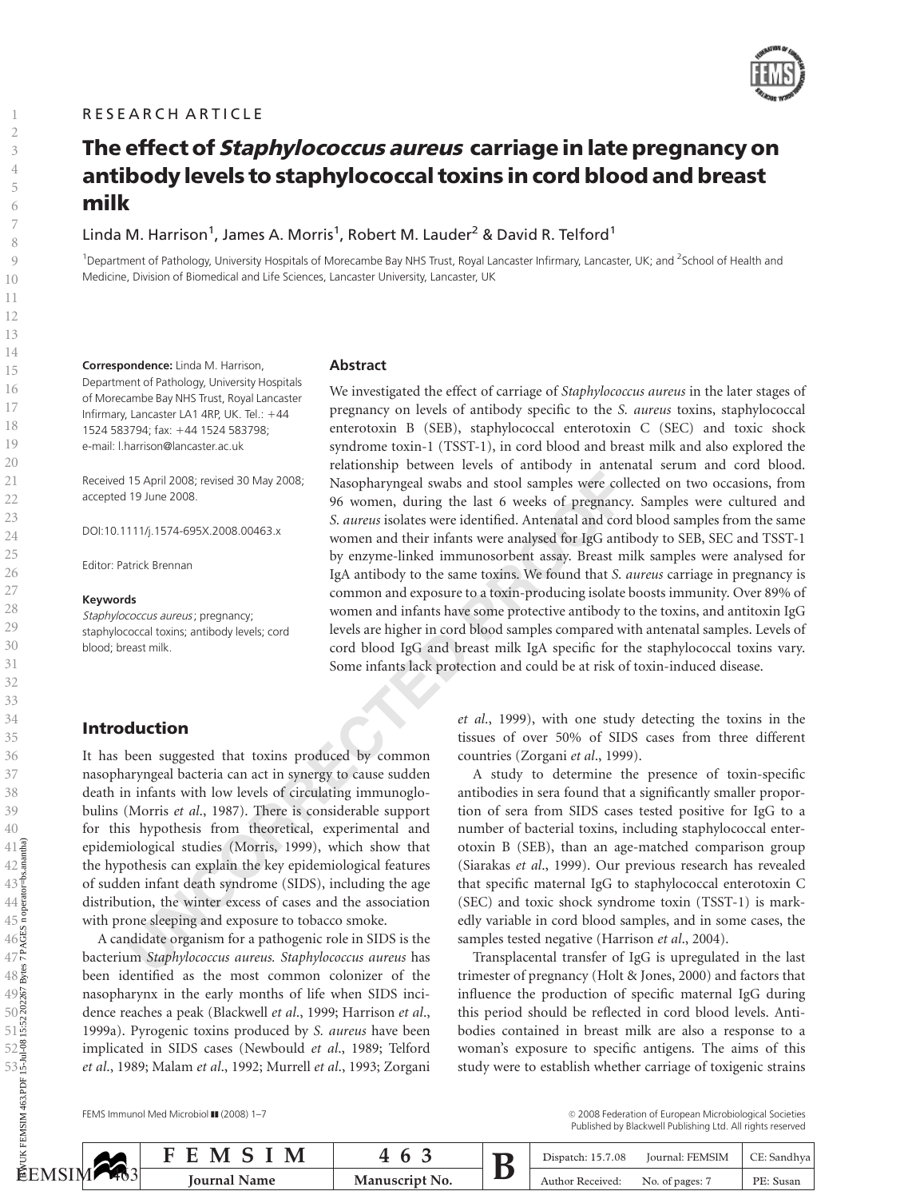

# The effect of *Staphylococcus aureus* carriage in late pregnancy on antibody levels to staphylococcal toxins in cord blood and breast milk

Linda M. Harrison $^1$ , James A. Morris $^1$ , Robert M. Lauder $^2$  & David R. Telford $^1$ 

<sup>1</sup>Department of Pathology, University Hospitals of Morecambe Bay NHS Trust, Royal Lancaster Infirmary, Lancaster, UK; and <sup>2</sup>School of Health and Medicine, Division of Biomedical and Life Sciences, Lancaster University, Lancaster, UK

Correspondence: Linda M. Harrison, Department of Pathology, University Hospitals of Morecambe Bay NHS Trust, Royal Lancaster Infirmary, Lancaster LA1 4RP, UK. Tel.: 144 1524 583794; fax: 144 1524 583798; e-mail: l.harrison@lancaster.ac.uk

Received 15 April 2008; revised 30 May 2008; accepted 19 June 2008.

DOI:10.1111/j.1574-695X.2008.00463.x

Editor: Patrick Brennan

#### Keywords

Staphylococcus aureus; pregnancy; staphylococcal toxins; antibody levels; cord blood; breast milk.

## **Abstract**

15 April 2008; revised 30 May 2008;<br>
19 June 2008. Masopharyngeal swabs and stool samples were coll<br>
19 June 2008. So women and their infants to revelate the vecks of pregnancy,<br>
19 We common and their infants were analys We investigated the effect of carriage of Staphylococcus aureus in the later stages of pregnancy on levels of antibody specific to the S. aureus toxins, staphylococcal enterotoxin B (SEB), staphylococcal enterotoxin C (SEC) and toxic shock syndrome toxin-1 (TSST-1), in cord blood and breast milk and also explored the relationship between levels of antibody in antenatal serum and cord blood. Nasopharyngeal swabs and stool samples were collected on two occasions, from 96 women, during the last 6 weeks of pregnancy. Samples were cultured and S. aureus isolates were identified. Antenatal and cord blood samples from the same women and their infants were analysed for IgG antibody to SEB, SEC and TSST-1 by enzyme-linked immunosorbent assay. Breast milk samples were analysed for IgA antibody to the same toxins. We found that S. aureus carriage in pregnancy is common and exposure to a toxin-producing isolate boosts immunity. Over 89% of women and infants have some protective antibody to the toxins, and antitoxin IgG levels are higher in cord blood samples compared with antenatal samples. Levels of cord blood IgG and breast milk IgA specific for the staphylococcal toxins vary. Some infants lack protection and could be at risk of toxin-induced disease.

# Introduction

It has been suggested that toxins produced by common nasopharyngeal bacteria can act in synergy to cause sudden death in infants with low levels of circulating immunoglobulins (Morris et al., 1987). There is considerable support for this hypothesis from theoretical, experimental and epidemiological studies (Morris, 1999), which show that the hypothesis can explain the key epidemiological features of sudden infant death syndrome (SIDS), including the age distribution, the winter excess of cases and the association with prone sleeping and exposure to tobacco smoke.

A candidate organism for a pathogenic role in SIDS is the bacterium Staphylococcus aureus. Staphylococcus aureus has been identified as the most common colonizer of the nasopharynx in the early months of life when SIDS incidence reaches a peak (Blackwell et al., 1999; Harrison et al., 1999a). Pyrogenic toxins produced by S. aureus have been implicated in SIDS cases (Newbould et al., 1989; Telford et al., 1989; Malam et al., 1992; Murrell et al., 1993; Zorgani FEMS IMPLACES<br>
FELANSIM CONSUMING THE SAME AND SALARAM SALARAM SALARAM SALARAM SALARAM SALARAM SALARAM SALARAM SALARAM SALARAM SALARAM SALARAM SALARAM SALARAM SALARAM SALARAM SALARAM SALARAM SALARAM SALARAM SALARAM SALARAM

et al., 1999), with one study detecting the toxins in the tissues of over 50% of SIDS cases from three different countries (Zorgani et al., 1999).

A study to determine the presence of toxin-specific antibodies in sera found that a significantly smaller proportion of sera from SIDS cases tested positive for IgG to a number of bacterial toxins, including staphylococcal enterotoxin B (SEB), than an age-matched comparison group (Siarakas et al., 1999). Our previous research has revealed that specific maternal IgG to staphylococcal enterotoxin C (SEC) and toxic shock syndrome toxin (TSST-1) is markedly variable in cord blood samples, and in some cases, the samples tested negative (Harrison et al., 2004).

Transplacental transfer of IgG is upregulated in the last trimester of pregnancy (Holt & Jones, 2000) and factors that influence the production of specific maternal IgG during this period should be reflected in cord blood levels. Antibodies contained in breast milk are also a response to a woman's exposure to specific antigens. The aims of this study were to establish whether carriage of toxigenic strains

FEMS Immunol Med Microbiol  $\blacksquare$  (2008) 1-7

<sup>c</sup> 2008 Federation of European Microbiological Societies Published by Blackwell Publishing Ltd. All rights reserved

| ∽              | IV            | <u>_</u> |  | 15.7.08<br>Dispatch: | <b>FEMSIN</b><br>Journal: |              |
|----------------|---------------|----------|--|----------------------|---------------------------|--------------|
| ISIM<br>$\P_0$ | ourna<br>Name | No.      |  | Received.<br>Author  | . of pages: '<br>N0.      | DЕ.<br>Susan |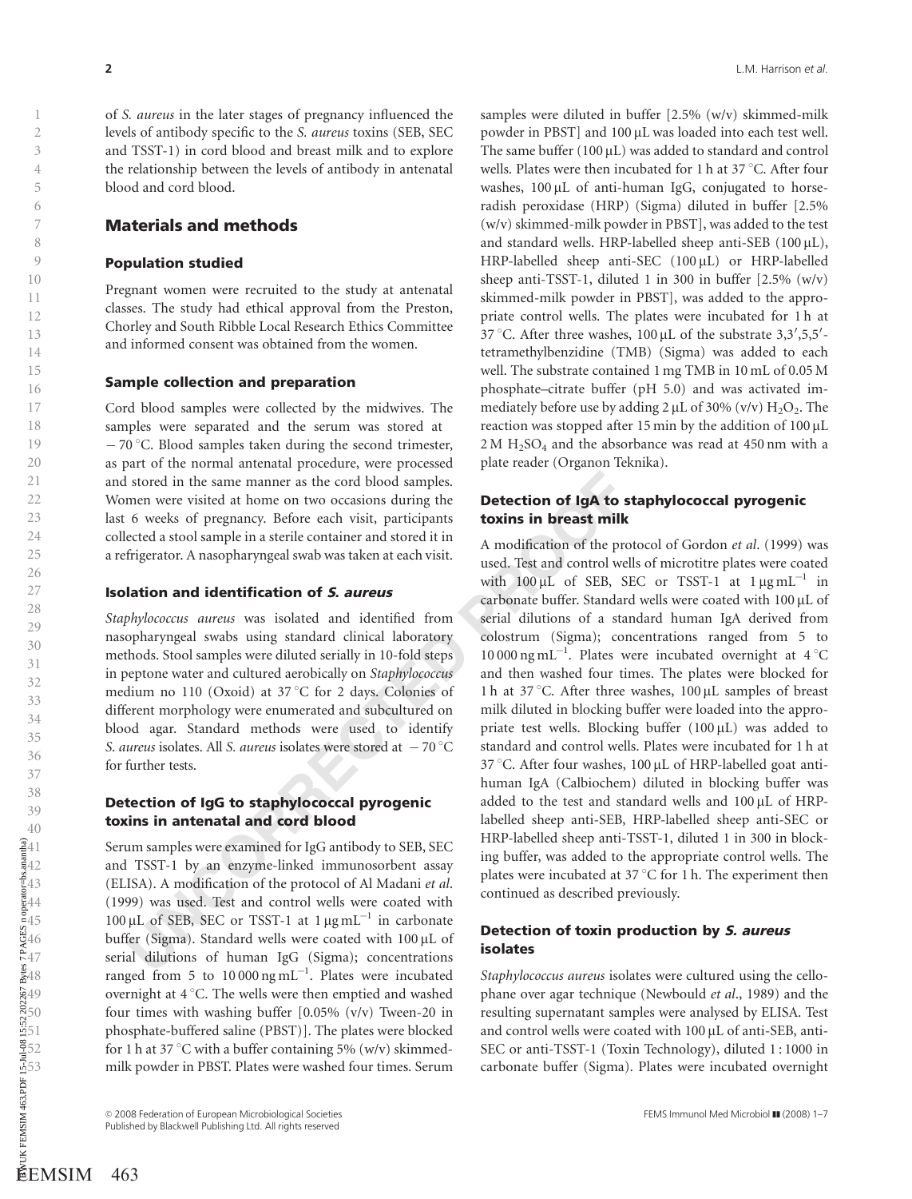of S. aureus in the later stages of pregnancy influenced the levels of antibody specific to the S. aureus toxins (SEB, SEC and TSST-1) in cord blood and breast milk and to explore the relationship between the levels of antibody in antenatal blood and cord blood.

## Materials and methods

#### Population studied

Pregnant women were recruited to the study at antenatal classes. The study had ethical approval from the Preston, Chorley and South Ribble Local Research Ethics Committee and informed consent was obtained from the women.

#### Sample collection and preparation

Cord blood samples were collected by the midwives. The samples were separated and the serum was stored at  $-70$  °C. Blood samples taken during the second trimester, as part of the normal antenatal procedure, were processed and stored in the same manner as the cord blood samples. Women were visited at home on two occasions during the last 6 weeks of pregnancy. Before each visit, participants collected a stool sample in a sterile container and stored it in a refrigerator. A nasopharyngeal swab was taken at each visit.

## Isolation and identification of S. aureus

Staphylococcus aureus was isolated and identified from nasopharyngeal swabs using standard clinical laboratory methods. Stool samples were diluted serially in 10-fold steps in peptone water and cultured aerobically on Staphylococcus medium no 110 (Oxoid) at 37 °C for 2 days. Colonies of different morphology were enumerated and subcultured on blood agar. Standard methods were used to identify S. aureus isolates. All S. aureus isolates were stored at  $-70^{\circ}$ C for further tests.

#### Detection of IgG to staphylococcal pyrogenic toxins in antenatal and cord blood

Serum samples were examined for IgG antibody to SEB, SEC and TSST-1 by an enzyme-linked immunosorbent assay (ELISA). A modification of the protocol of Al Madani et al . (1999) was used. Test and control wells were coated with  $100 \mu L$  of SEB, SEC or TSST-1 at  $1 \mu g m L^{-1}$  in carbonate buffer (Sigma). Standard wells were coated with 100 µL of serial dilutions of human IgG (Sigma); concentrations ranged from 5 to  $10000 \text{ ng } \text{mL}^{-1}$ . Plates were incubated overnight at 4 °C. The wells were then emptied and washed four times with washing buffer [0.05% (v/v) Tween-20 in phosphate-buffered saline (PBST)]. The plates were blocked for 1 h at 37 °C with a buffer containing 5% (w/v) skimmedmilk powder in PBST. Plates were washed four times. Serum FEMSIM 463<br>
FEMSIM 463<br>
FEMSIM 463<br>
FEMSIM 463<br>
FEMSIM 463<br>
FEMSIM 463<br>
FEMSIM 463<br>
FEMSIM 463

samples were diluted in buffer [2.5% (w/v) skimmed-milk powder in PBST] and 100 µL was loaded into each test well. The same buffer  $(100 \,\mu\text{L})$  was added to standard and control wells. Plates were then incubated for 1 h at 37 $\degree$ C. After four washes, 100 µL of anti-human IgG, conjugated to horseradish peroxidase (HRP) (Sigma) diluted in buffer [2.5% (w/v) skimmed-milk powder in PBST], was added to the test and standard wells. HRP-labelled sheep anti-SEB (100µL), HRP-labelled sheep anti-SEC (100µL) or HRP-labelled sheep anti-TSST-1, diluted 1 in 300 in buffer  $[2.5\% (w/v)]$ skimmed-milk powder in PBST], was added to the appropriate control wells. The plates were incubated for 1 h at 37 °C. After three washes,  $100 \mu$ L of the substrate 3,3',5,5'tetramethylbenzidine (TMB) (Sigma) was added to each well. The substrate contained 1 mg TMB in 10 mL of 0.05 M phosphate–citrate buffer (pH 5.0) and was activated immediately before use by adding  $2 \mu L$  of 30% (v/v)  $H_2O_2$ . The reaction was stopped after 15 min by the addition of 100 m L  $2 M H_2SO_4$  and the absorbance was read at 450 nm with a plate reader (Organon Teknika).

## Detection of IgA to staphylococcal pyrogenic toxins in breast milk

stored in the same manner as the cord blood samples.<br>
Internative visited at home on two occasions during the<br>
forevests of pregnancy. Before each visit, participants<br>
for the production of the production of the productio A modification of the protocol of Gordon et al. (1999) was used. Test and control wells of microtitre plates were coated with  $100 \mu L$  of SEB, SEC or TSST-1 at  $1 \mu g m L^{-1}$  in carbonate buffer. Standard wells were coated with 100 µL of serial dilutions of a standard human IgA derived from colostrum (Sigma); concentrations ranged from 5 to 10 000 ng mL<sup>-1</sup>. Plates were incubated overnight at  $4^{\circ}$ C and then washed four times. The plates were blocked for 1h at 37 °C. After three washes, 100 µL samples of breast milk diluted in blocking buffer were loaded into the appropriate test wells. Blocking buffer  $(100 \,\mu L)$  was added to standard and control wells. Plates were incubated for 1 h at 37 °C. After four washes, 100  $\mu$ L of HRP-labelled goat antihuman IgA (Calbiochem) diluted in blocking buffer was added to the test and standard wells and  $100 \,\mu$ L of HRPlabelled sheep anti-SEB, HRP-labelled sheep anti-SEC or HRP-labelled sheep anti-TSST-1, diluted 1 in 300 in blocking buffer, was added to the appropriate control wells. The plates were incubated at 37 °C for 1 h. The experiment then continued as described previously. Published by the main of the same of regards the same second of the same of the same of the same of the same of the same of the same of the same of the same of the same of the same of the same of the same of the same of t

## Detection of toxin production by S. aureus isolates

Staphylococcus aureus isolates were cultured using the cellophane over agar technique (Newbould et al., 1989) and the resulting supernatant samples were analysed by ELISA. Test and control wells were coated with 100 µL of anti-SEB, anti-SEC or anti-TSST-1 (Toxin Technology), diluted 1 : 1000 in carbonate buffer (Sigma). Plates were incubated overnight

C 2008 Federation of European Microbiological Societies Federation Society FEMS Immunol Med Microbiol III (2008) 1–7<br>Published by Blackwell Publishing Ltd. All rights reserved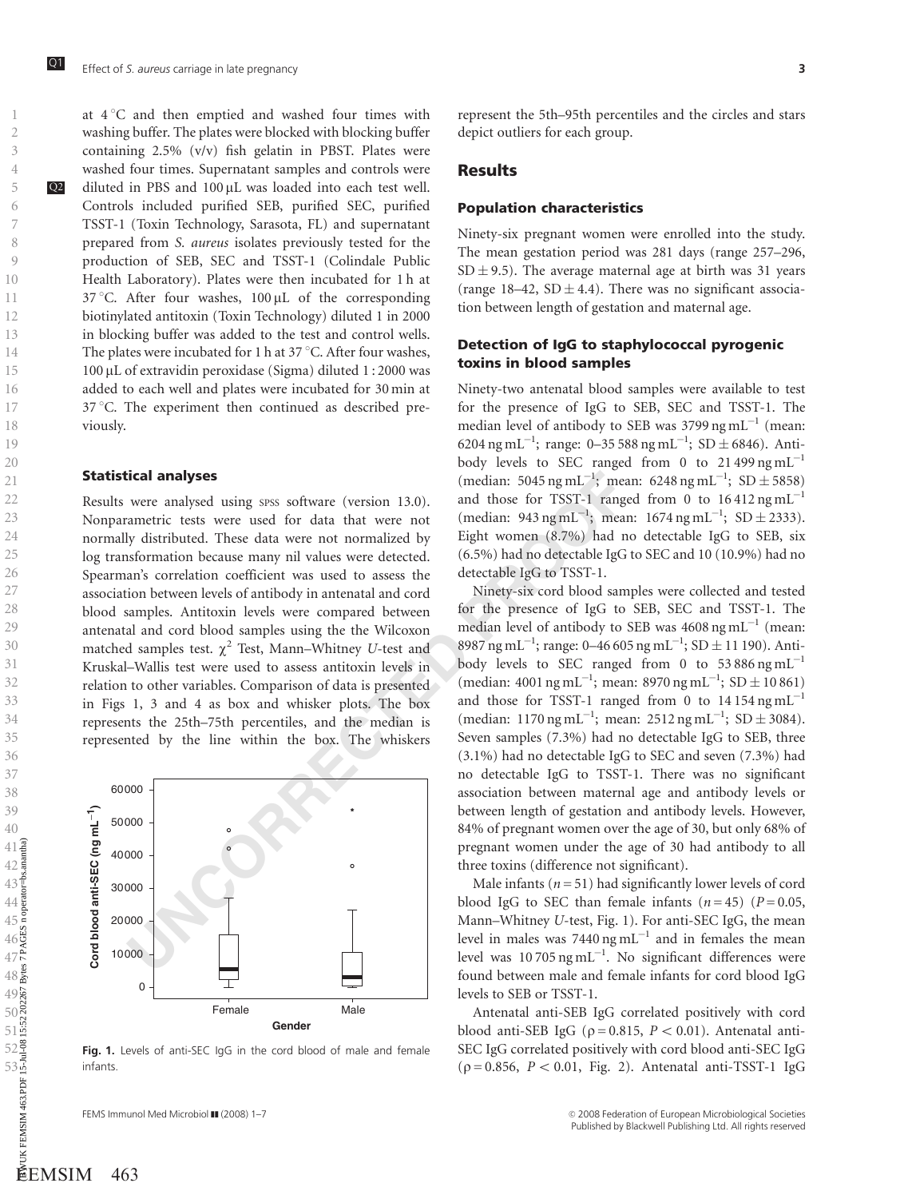at 4 1C and then emptied and washed four times with washing buffer. The plates were blocked with blocking buffer containing 2.5% (v/v) fish gelatin in PBST. Plates were washed four times. Supernatant samples and controls were  $Q2$  diluted in PBS and 100  $\mu$ L was loaded into each test well. Controls included purified SEB, purified SEC, purified TSST-1 (Toxin Technology, Sarasota, FL) and supernatant prepared from S. aureus isolates previously tested for the production of SEB, SEC and TSST-1 (Colindale Public Health Laboratory). Plates were then incubated for 1 h at 37 °C. After four washes, 100 µL of the corresponding biotinylated antitoxin (Toxin Technology) diluted 1 in 2000 in blocking buffer was added to the test and control wells. The plates were incubated for 1 h at 37  $\mathrm{^{\circ}C}.$  After four washes, 100 μL of extravidin peroxidase (Sigma) diluted 1:2000 was added to each well and plates were incubated for 30 min at 37 °C. The experiment then continued as described previously.

#### Statistical analyses

**ICORET ANDERE SERVITE TO THE SERVITE SURFALMOND CONSIST AND WE WE ARENT ASSIST TO A TONG TRIST-1, TRANSPORTATION IN THE SERVITED AND THE SERVITED AND THE SERVITED AND THE SERVITED AND THE SERVITED SURFACT WAS USED AND THE** Results were analysed using spss software (version 13.0). Nonparametric tests were used for data that were not normally distributed. These data were not normalized by log transformation because many nil values were detected. Spearman's correlation coefficient was used to assess the association between levels of antibody in antenatal and cord blood samples. Antitoxin levels were compared between antenatal and cord blood samples using the the Wilcoxon matched samples test.  $\chi^2$  Test, Mann–Whitney U-test and Kruskal–Wallis test were used to assess antitoxin levels in relation to other variables. Comparison of data is presented in Figs 1, 3 and 4 as box and whisker plots. The box represents the 25th–75th percentiles, and the median is represented by the line within the box. The whiskers



Fig. 1. Levels of anti-SEC IgG in the cord blood of male and female infants.

FEMS Immunol Med Microbiol  $II$  (2008) 1-7

represent the 5th–95th percentiles and the circles and stars depict outliers for each group.

#### Results

#### Population characteristics

Ninety-six pregnant women were enrolled into the study. The mean gestation period was 281 days (range 257–296,  $SD \pm 9.5$ ). The average maternal age at birth was 31 years (range 18–42,  $SD \pm 4.4$ ). There was no significant association between length of gestation and maternal age.

## Detection of IgG to staphylococcal pyrogenic toxins in blood samples

Ninety-two antenatal blood samples were available to test for the presence of IgG to SEB, SEC and TSST-1. The median level of antibody to SEB was 3799 ng mL $^{-1}$  (mean: 6204 ng mL<sup>-1</sup>; range: 0-35 588 ng mL<sup>-1</sup>; SD  $\pm$  6846). Antibody levels to SEC ranged from 0 to  $21\,499\,\mathrm{ng}\,\mathrm{mL}^{-1}$ (median: 5045 ng mL<sup>-1</sup>; mean: 6248 ng mL<sup>-1</sup>; SD  $\pm$  5858) and those for TSST-1 ranged from 0 to  $16412$  ng mL<sup>-1</sup> (median:  $943 \text{ ng } \text{mL}^{-1}$ ; mean:  $1674 \text{ ng } \text{mL}^{-1}$ ;  $SD \pm 2333$ ). Eight women (8.7%) had no detectable IgG to SEB, six (6.5%) had no detectable IgG to SEC and 10 (10.9%) had no detectable IgG to TSST-1.

Ninety-six cord blood samples were collected and tested for the presence of IgG to SEB, SEC and TSST-1. The median level of antibody to SEB was  $4608$  ng mL<sup>-1</sup> (mean: 8987 ng mL<sup>-1</sup>; range: 0-46 605 ng mL<sup>-1</sup>; SD  $\pm$  11 190). Antibody levels to SEC ranged from 0 to  $53 886$  ng  $\text{mL}^{-1}$ (median:  $4001 \text{ ng } \text{mL}^{-1}$ ; mean:  $8970 \text{ ng } \text{mL}^{-1}$ ;  $SD \pm 10861$ ) and those for TSST-1 ranged from 0 to  $14154$  ng mL<sup>-1</sup> (median: 1170 ng mL<sup>-1</sup>; mean: 2512 ng mL<sup>-1</sup>; SD  $\pm$  3084). Seven samples (7.3%) had no detectable IgG to SEB, three (3.1%) had no detectable IgG to SEC and seven (7.3%) had no detectable IgG to TSST-1. There was no significant association between maternal age and antibody levels or between length of gestation and antibody levels. However, 84% of pregnant women over the age of 30, but only 68% of pregnant women under the age of 30 had antibody to all three toxins (difference not significant).

Male infants ( $n = 51$ ) had significantly lower levels of cord blood IgG to SEC than female infants  $(n=45)$  ( $P=0.05$ , Mann–Whitney U-test, Fig. 1). For anti-SEC IgG, the mean level in males was  $7440 \text{ ng } \text{mL}^{-1}$  and in females the mean level was  $10\,705\,\text{ng}\,\text{mL}^{-1}$ . No significant differences were found between male and female infants for cord blood IgG levels to SEB or TSST-1.

Antenatal anti-SEB IgG correlated positively with cord blood anti-SEB IgG ( $\rho = 0.815$ ,  $P < 0.01$ ). Antenatal anti-SEC IgG correlated positively with cord blood anti-SEC IgG  $(p = 0.856, P < 0.01, Fig. 2)$ . Antenatal anti-TSST-1 IgG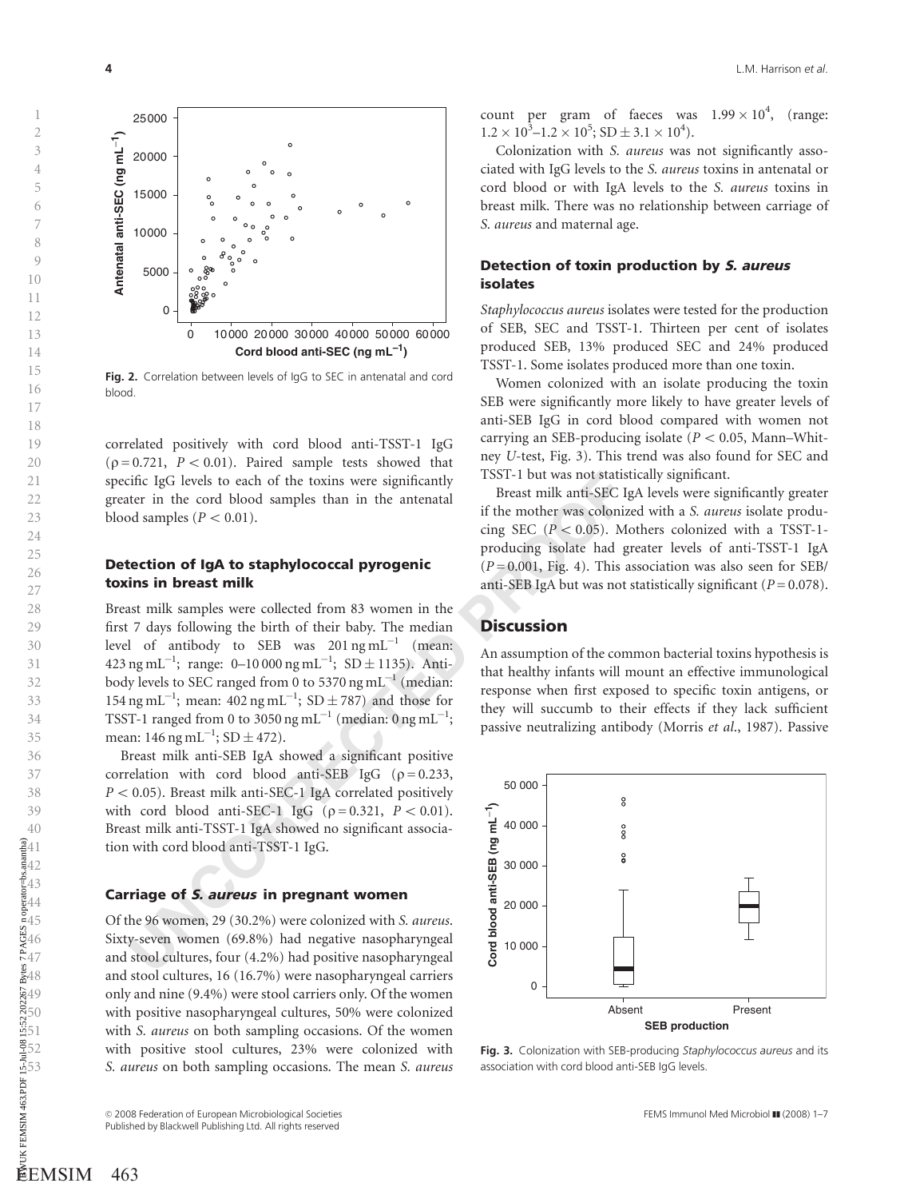0 10 000 20 000 30 000 40 000 50 000 60 000 **Cord blood anti-SEC (ng mL–1 )** 25000 20000 15000 10000 50000 **Antenatal anti-SEC (ng mL**−**1)**

Fig. 2. Correlation between levels of IgG to SEC in antenatal and cord blood.

correlated positively with cord blood anti-TSST-1 IgG  $(p = 0.721, P < 0.01)$ . Paired sample tests showed that specific IgG levels to each of the toxins were significantly greater in the cord blood samples than in the antenatal blood samples  $(P < 0.01)$ .

## Detection of IgA to staphylococcal pyrogenic toxins in breast milk

Einc IgC levels to each of the toxins were significantly<br>
USEN-1 but was not states that<br>
there in the cord blood samples than in the antenatal<br>
of samples ( $P < 0.01$ ).<br> **UNCORRECTED**<br> **UNCORRECTED**<br> **UNCORRECTED**<br> **UNCOR** Breast milk samples were collected from 83 women in the first 7 days following the birth of their baby. The median level of antibody to SEB was  $201 \text{ ng } \text{mL}^{-1}$  (mean: 423 ng mL<sup>-1</sup>; range: 0–10 000 ng mL<sup>-1</sup>; SD  $\pm$  1135). Antibody levels to SEC ranged from 0 to 5370  $\mathrm{ng\,ml}^{-1}$  (median: 154 ng mL<sup>-1</sup>; mean: 402 ng mL<sup>-1</sup>; SD  $\pm$  787) and those for TSST-1 ranged from 0 to 3050 ng mL $^{-1}$  (median: 0 ng mL $^{-1}$ ; mean: 146 ng mL $^{-1}$ ; SD  $\pm$  472).

Breast milk anti-SEB IgA showed a significant positive correlation with cord blood anti-SEB IgG  $(\rho = 0.233,$  $P < 0.05$ ). Breast milk anti-SEC-1 IgA correlated positively with cord blood anti-SEC-1 IgG ( $\rho = 0.321$ ,  $P < 0.01$ ). Breast milk anti-TSST-1 IgA showed no significant association with cord blood anti-TSST-1 IgG.

#### Carriage of S. aureus in pregnant women

Of the 96 women, 29 (30.2%) were colonized with S. aureus . Sixty-seven women (69.8%) had negative nasopharyngeal and stool cultures, four (4.2%) had positive nasopharyngeal and stool cultures, 16 (16.7%) were nasopharyngeal carriers only and nine (9.4%) were stool carriers only. Of the women with positive nasopharyngeal cultures, 50% were colonized with S. aureus on both sampling occasions. Of the women with positive stool cultures, 23% were colonized with S. aureus on both sampling occasions. The mean S. aureus

count per gram of faeces was  $1.99 \times 10^4$ , (range:  $1.2 \times 10^3 - 1.2 \times 10^5$ ; SD  $\pm 3.1 \times 10^4$ ).

Colonization with S. aureus was not significantly associated with IgG levels to the S. aureus toxins in antenatal or cord blood or with IgA levels to the S. aureus toxins in breast milk. There was no relationship between carriage of S. aureus and maternal age.

### Detection of toxin production by S. aureus isolates

Staphylococcus aureus isolates were tested for the production of SEB, SEC and TSST-1. Thirteen per cent of isolates produced SEB, 13% produced SEC and 24% produced TSST-1. Some isolates produced more than one toxin.

Women colonized with an isolate producing the toxin SEB were significantly more likely to have greater levels of anti-SEB IgG in cord blood compared with women not carrying an SEB-producing isolate ( $P < 0.05$ , Mann-Whitney U-test, Fig. 3). This trend was also found for SEC and TSST-1 but was not statistically significant.

Breast milk anti-SEC IgA levels were significantly greater if the mother was colonized with a S. aureus isolate producing SEC ( $P < 0.05$ ). Mothers colonized with a TSST-1producing isolate had greater levels of anti-TSST-1 IgA  $(P = 0.001,$  Fig. 4). This association was also seen for SEB/ anti-SEB IgA but was not statistically significant ( $P = 0.078$ ).

## **Discussion**

An assumption of the common bacterial toxins hypothesis is that healthy infants will mount an effective immunological response when first exposed to specific toxin antigens, or they will succumb to their effects if they lack sufficient passive neutralizing antibody (Morris et al., 1987). Passive



Fig. 3. Colonization with SEB-producing Staphylococcus aureus and its association with cord blood anti-SEB IgG levels.

 $\,1\,$ 

<sup>© 2008</sup> Federation of European Microbiological Societies Ferman Marketines FEMS Immunol Med Microbiol ∎ (2008) 1–7<br>Published by Blackwell Publishing Ltd. All rights reserved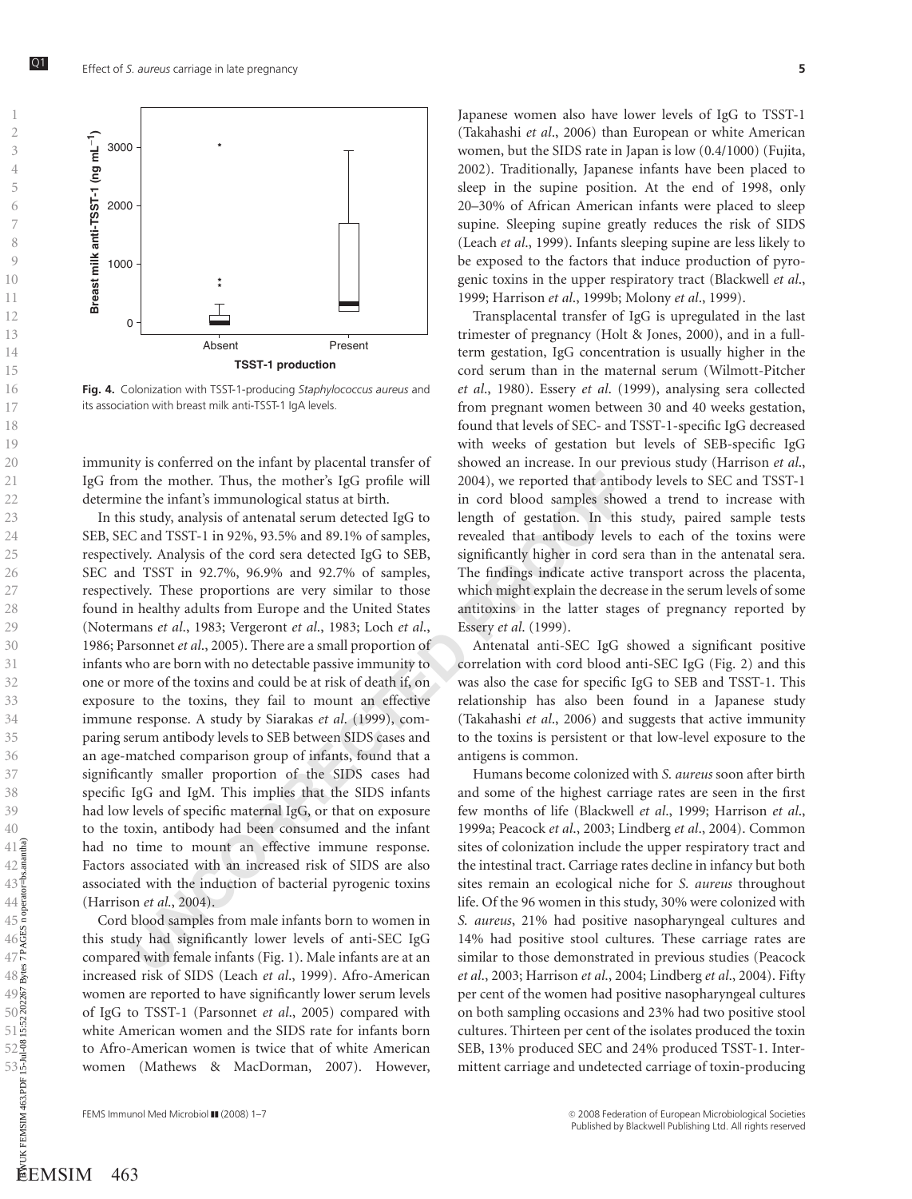





Fig. 4. Colonization with TSST-1-producing Staphylococcus aureus and its association with breast milk anti-TSST-1 IgA levels.

immunity is conferred on the infant by placental transfer of IgG from the mother. Thus, the mother's IgG profile will determine the infant's immunological status at birth.

m the mother. Thus, the mother's IgG profile will 2004), we reported that antile in that in the thiraths immunological status at birth. in cord blood samples show that in the infants in status, in cord blood samples that In this study, analysis of antenatal serum detected IgG to SEB, SEC and TSST-1 in 92%, 93.5% and 89.1% of samples, respectively. Analysis of the cord sera detected IgG to SEB, SEC and TSST in 92.7%, 96.9% and 92.7% of samples, respectively. These proportions are very similar to those found in healthy adults from Europe and the United States (Notermans et al., 1983; Vergeront et al., 1983; Loch et al., 1986; Parsonnet et al., 2005). There are a small proportion of infants who are born with no detectable passive immunity to one or more of the toxins and could be at risk of death if, on exposure to the toxins, they fail to mount an effective immune response. A study by Siarakas et al. (1999), comparing serum antibody levels to SEB between SIDS cases and an age-matched comparison group of infants, found that a significantly smaller proportion of the SIDS cases had specific IgG and IgM. This implies that the SIDS infants had low levels of specific maternal IgG, or that on exposure to the toxin, antibody had been consumed and the infant had no time to mount an effective immune response. Factors associated with an increased risk of SIDS are also associated with the induction of bacterial pyrogenic toxins (Harrison et al., 2004).

Cord blood samples from male infants born to women in this study had significantly lower levels of anti-SEC IgG compared with female infants (Fig. 1). Male infants are at an increased risk of SIDS (Leach et al., 1999). Afro-American women are reported to have significantly lower serum levels of IgG to TSST-1 (Parsonnet et al., 2005) compared with white American women and the SIDS rate for infants born to Afro-American women is twice that of white American women (Mathews & MacDorman, 2007). However,

Japanese women also have lower levels of IgG to TSST-1 (Takahashi et al., 2006) than European or white American women, but the SIDS rate in Japan is low (0.4/1000) (Fujita, 2002). Traditionally, Japanese infants have been placed to sleep in the supine position. At the end of 1998, only 20–30% of African American infants were placed to sleep supine. Sleeping supine greatly reduces the risk of SIDS (Leach et al., 1999). Infants sleeping supine are less likely to be exposed to the factors that induce production of pyrogenic toxins in the upper respiratory tract (Blackwell et al., 1999; Harrison et al., 1999b; Molony et al., 1999).

Transplacental transfer of IgG is upregulated in the last trimester of pregnancy (Holt & Jones, 2000), and in a fullterm gestation, IgG concentration is usually higher in the cord serum than in the maternal serum (Wilmott-Pitcher et al., 1980). Essery et al. (1999), analysing sera collected from pregnant women between 30 and 40 weeks gestation, found that levels of SEC- and TSST-1-specific IgG decreased with weeks of gestation but levels of SEB-specific IgG showed an increase. In our previous study (Harrison et al., 2004), we reported that antibody levels to SEC and TSST-1 in cord blood samples showed a trend to increase with length of gestation. In this study, paired sample tests revealed that antibody levels to each of the toxins were significantly higher in cord sera than in the antenatal sera. The findings indicate active transport across the placenta, which might explain the decrease in the serum levels of some antitoxins in the latter stages of pregnancy reported by Essery et al. (1999).

Antenatal anti-SEC IgG showed a significant positive correlation with cord blood anti-SEC IgG (Fig. 2) and this was also the case for specific IgG to SEB and TSST-1. This relationship has also been found in a Japanese study (Takahashi et al., 2006) and suggests that active immunity to the toxins is persistent or that low-level exposure to the antigens is common.

Humans become colonized with S. aureus soon after birth and some of the highest carriage rates are seen in the first few months of life (Blackwell et al., 1999; Harrison et al., 1999a; Peacock et al., 2003; Lindberg et al., 2004). Common sites of colonization include the upper respiratory tract and the intestinal tract. Carriage rates decline in infancy but both sites remain an ecological niche for S. aureus throughout life. Of the 96 women in this study, 30% were colonized with S. aureus, 21% had positive nasopharyngeal cultures and 14% had positive stool cultures. These carriage rates are similar to those demonstrated in previous studies (Peacock et al., 2003; Harrison et al., 2004; Lindberg et al., 2004). Fifty per cent of the women had positive nasopharyngeal cultures on both sampling occasions and 23% had two positive stool cultures. Thirteen per cent of the isolates produced the toxin SEB, 13% produced SEC and 24% produced TSST-1. Intermittent carriage and undetected carriage of toxin-producing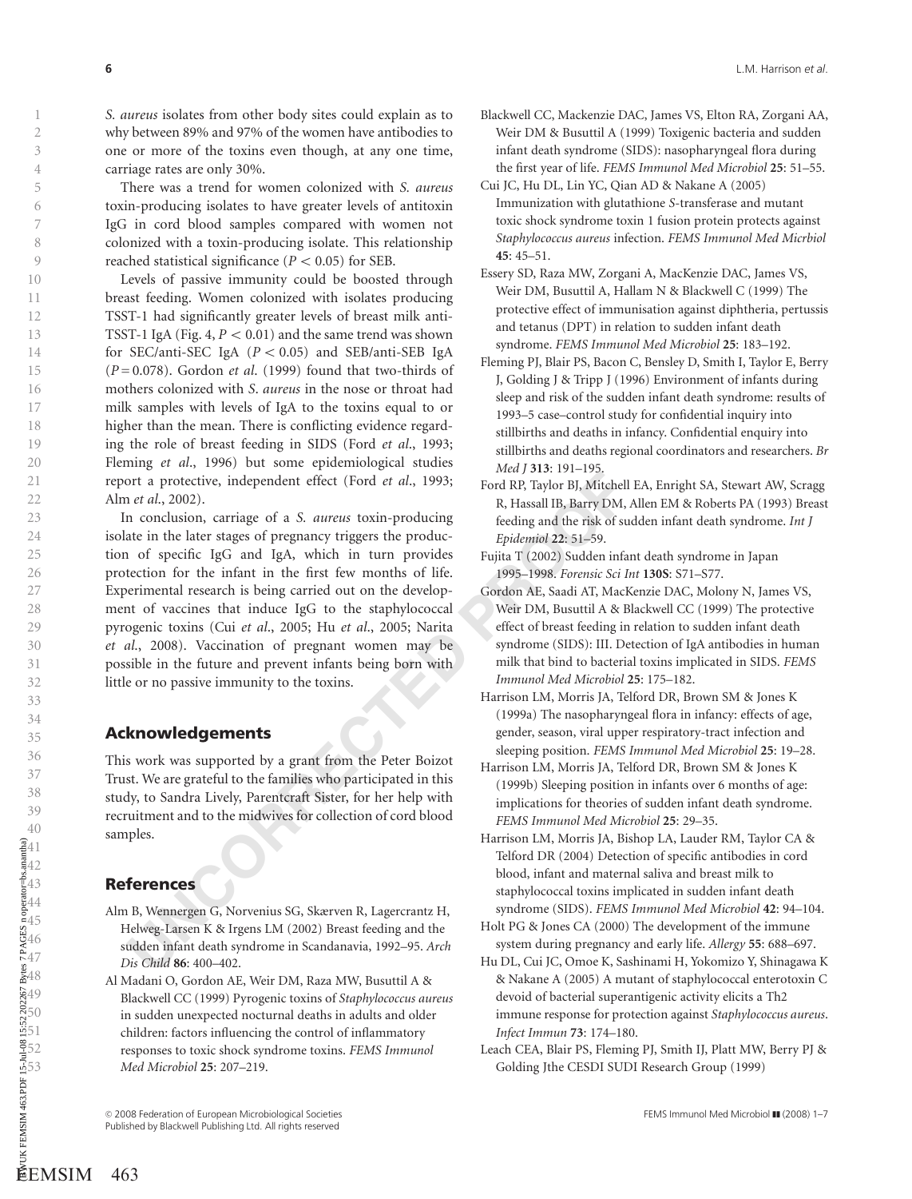S. aureus isolates from other body sites could explain as to why between 89% and 97% of the women have antibodies to one or more of the toxins even though, at any one time, carriage rates are only 30%.

There was a trend for women colonized with S. aureus toxin-producing isolates to have greater levels of antitoxin IgG in cord blood samples compared with women not colonized with a toxin-producing isolate. This relationship reached statistical significance ( $P < 0.05$ ) for SEB.

Levels of passive immunity could be boosted through breast feeding. Women colonized with isolates producing TSST-1 had significantly greater levels of breast milk anti-TSST-1 IgA (Fig. 4,  $P < 0.01$ ) and the same trend was shown for SEC/anti-SEC IgA  $(P < 0.05)$  and SEB/anti-SEB IgA  $(P=0.078)$ . Gordon *et al.* (1999) found that two-thirds of mothers colonized with S . aureus in the nose or throat had milk samples with levels of IgA to the toxins equal to or higher than the mean. There is conflicting evidence regarding the role of breast feeding in SIDS (Ford et al., 1993; Fleming et al., 1996) but some epidemiological studies report a protective, independent effect (Ford et al., 1993; Alm et al., 2002). Further is the control of the control of the control of the control of the control of the control of the control of the control of the control of the control of the control of the control of the control of the control of

17 and 2,002).<br>
In an conclusion, carriage of a *S. aureus* toxin-producing<br>
the R. Taylor B), This Michell<br>
18 cold RP, Taylor B), Michell<br>
18 coldine). The small IB, barry DM,<br>
In conclusion, carriage of a *S. aureus* to In conclusion, carriage of a S. aureus toxin-producing isolate in the later stages of pregnancy triggers the production of specific IgG and IgA, which in turn provides protection for the infant in the first few months of life. Experimental research is being carried out on the development of vaccines that induce IgG to the staphylococcal pyrogenic toxins (Cui et al., 2005; Hu et al., 2005; Narita et al., 2008). Vaccination of pregnant women may be possible in the future and prevent infants being born with little or no passive immunity to the toxins.

## Acknowledgements

This work was supported by a grant from the Peter Boizot Trust. We are grateful to the families who participated in this study, to Sandra Lively, Parentcraft Sister, for her help with recruitment and to the midwives for collection of cord blood samples.

# References

- Alm B, Wennergen G, Norvenius SG, Skærven R, Lagercrantz H, Helweg-Larsen K & Irgens LM (2002) Breast feeding and the sudden infant death syndrome in Scandanavia, 1992–95. Arch Dis Child 86: 400–402.
- Al Madani O, Gordon AE, Weir DM, Raza MW, Busuttil A & Blackwell CC (1999) Pyrogenic toxins of Staphylococcus aureus in sudden unexpected nocturnal deaths in adults and older children: factors influencing the control of inflammatory responses to toxic shock syndrome toxins. FEMS Immunol Med Microbiol 25: 207–219.
- Blackwell CC, Mackenzie DAC, James VS, Elton RA, Zorgani AA, Weir DM & Busuttil A (1999) Toxigenic bacteria and sudden infant death syndrome (SIDS): nasopharyngeal flora during the first year of life. FEMS Immunol Med Microbiol 25: 51–55.
- Cui JC, Hu DL, Lin YC, Qian AD & Nakane A (2005) Immunization with glutathione S-transferase and mutant toxic shock syndrome toxin 1 fusion protein protects against Staphylococcus aureus infection. FEMS Immunol Med Micrbiol 45: 45–51.
- Essery SD, Raza MW, Zorgani A, MacKenzie DAC, James VS, Weir DM, Busuttil A, Hallam N & Blackwell C (1999) The protective effect of immunisation against diphtheria, pertussis and tetanus (DPT) in relation to sudden infant death syndrome. FEMS Immunol Med Microbiol 25: 183–192.
- Fleming PJ, Blair PS, Bacon C, Bensley D, Smith I, Taylor E, Berry J, Golding J & Tripp J (1996) Environment of infants during sleep and risk of the sudden infant death syndrome: results of 1993–5 case–control study for confidential inquiry into stillbirths and deaths in infancy. Confidential enquiry into stillbirths and deaths regional coordinators and researchers. Br Med 1313: 191-195.
- Ford RP, Taylor BJ, Mitchell EA, Enright SA, Stewart AW, Scragg R, Hassall IB, Barry DM, Allen EM & Roberts PA (1993) Breast feeding and the risk of sudden infant death syndrome. Int J Epidemiol 22: 51–59.
- Fujita T (2002) Sudden infant death syndrome in Japan 1995–1998. Forensic Sci Int 130S: S71–S77.
- Gordon AE, Saadi AT, MacKenzie DAC, Molony N, James VS, Weir DM, Busuttil A & Blackwell CC (1999) The protective effect of breast feeding in relation to sudden infant death syndrome (SIDS): III. Detection of IgA antibodies in human milk that bind to bacterial toxins implicated in SIDS. FEMS Immunol Med Microbiol 25: 175–182.
- Harrison LM, Morris JA, Telford DR, Brown SM & Jones K (1999a) The nasopharyngeal flora in infancy: effects of age, gender, season, viral upper respiratory-tract infection and sleeping position. FEMS Immunol Med Microbiol 25: 19–28.
- Harrison LM, Morris JA, Telford DR, Brown SM & Jones K (1999b) Sleeping position in infants over 6 months of age: implications for theories of sudden infant death syndrome. FEMS Immunol Med Microbiol 25: 29–35.
- Harrison LM, Morris JA, Bishop LA, Lauder RM, Taylor CA & Telford DR (2004) Detection of specific antibodies in cord blood, infant and maternal saliva and breast milk to staphylococcal toxins implicated in sudden infant death syndrome (SIDS). FEMS Immunol Med Microbiol 42: 94–104.
- Holt PG & Jones CA (2000) The development of the immune system during pregnancy and early life. Allergy 55: 688–697.
- Hu DL, Cui JC, Omoe K, Sashinami H, Yokomizo Y, Shinagawa K & Nakane A (2005) A mutant of staphylococcal enterotoxin C devoid of bacterial superantigenic activity elicits a Th2 immune response for protection against Staphylococcus aureus . Infect Immun 73: 174–180.
- Leach CEA, Blair PS, Fleming PJ, Smith IJ, Platt MW, Berry PJ & Golding Jthe CESDI SUDI Research Group (1999)

123456789

 $\mathbf{1}$  $\overline{2}$  $\overline{3}$  $\overline{4}$ 5 6  $\overline{7}$ 8  $\overline{Q}$ 

C 2008 Federation of European Microbiological Societies Federation Society FEMS Immunol Med Microbiol III (2008) 1–7<br>Published by Blackwell Publishing Ltd. All rights reserved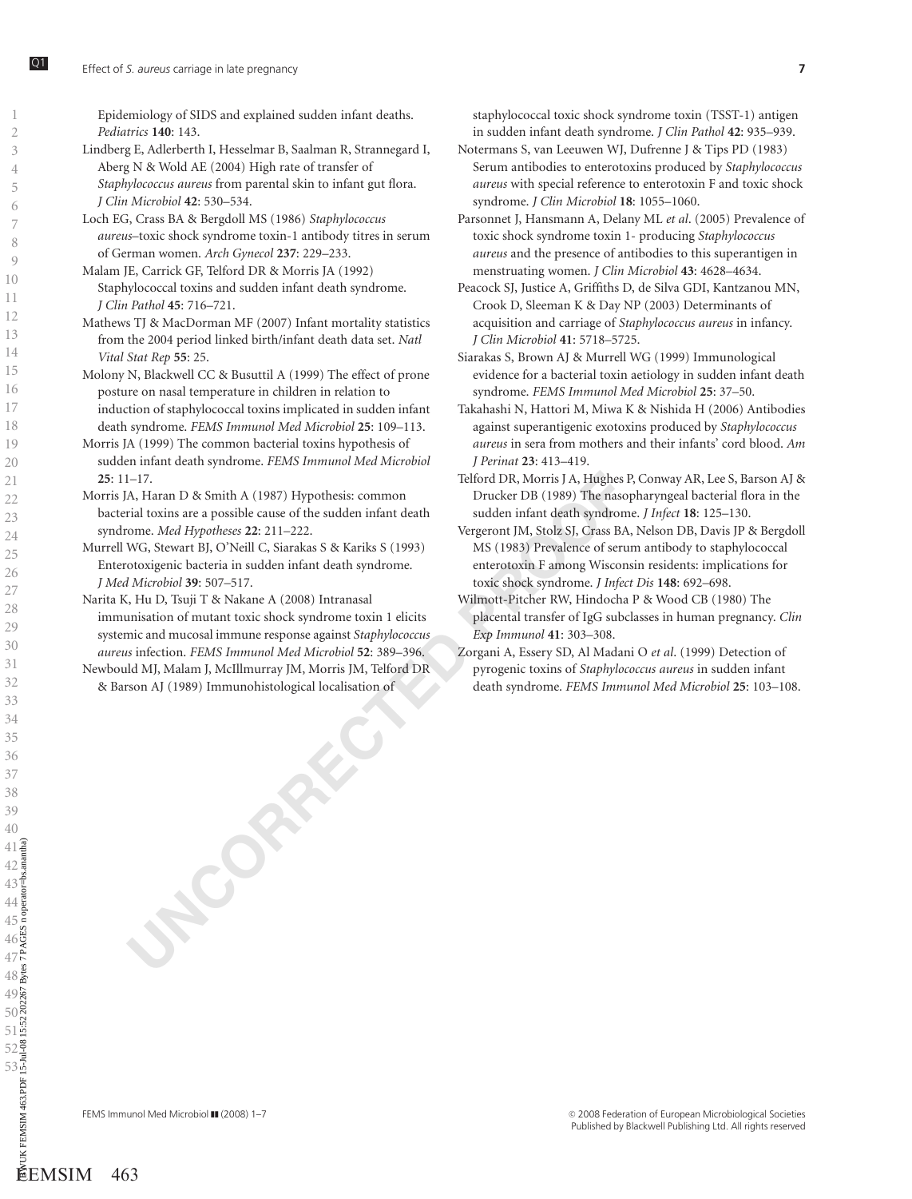Epidemiology of SIDS and explained sudden infant deaths. Pediatrics 140: 143.

- Lindberg E, Adlerberth I, Hesselmar B, Saalman R, Strannegard I, Aberg N & Wold AE (2004) High rate of transfer of Staphylococcus aureus from parental skin to infant gut flora. J Clin Microbiol 42: 530–534.
- Loch EG, Crass BA & Bergdoll MS (1986) Staphylococcus aureus–toxic shock syndrome toxin-1 antibody titres in serum of German women. Arch Gynecol 237: 229–233.
- Malam JE, Carrick GF, Telford DR & Morris JA (1992) Staphylococcal toxins and sudden infant death syndrome. J Clin Pathol 45: 716–721.
- Mathews TJ & MacDorman MF (2007) Infant mortality statistics from the 2004 period linked birth/infant death data set. Natl Vital Stat Rep 55: 25.
- Molony N, Blackwell CC & Busuttil A (1999) The effect of prone posture on nasal temperature in children in relation to induction of staphylococcal toxins implicated in sudden infant death syndrome. FEMS Immunol Med Microbiol 25: 109–113.
- Morris JA (1999) The common bacterial toxins hypothesis of sudden infant death syndrome. FEMS Immunol Med Microbiol 25: 11–17.
- Morris JA, Haran D & Smith A (1987) Hypothesis: common bacterial toxins are a possible cause of the sudden infant death syndrome. Med Hypotheses 22: 211–222.
- Murrell WG, Stewart BJ, O'Neill C, Siarakas S & Kariks S (1993) Enterotoxigenic bacteria in sudden infant death syndrome. J Med Microbiol 39: 507–517.
- 1–17.<br>
1–17. Telford DR, Morris J.A, Highes ISON, Highes ISON, Haran D & Smith A (1987) Hypothesis: common Ducker DB (1989) The naso<br>
16. Haran D & Smith A (1987) The passive common Magnetic strates of the sudden infant de Narita K, Hu D, Tsuji T & Nakane A (2008) Intranasal immunisation of mutant toxic shock syndrome toxin 1 elicits systemic and mucosal immune response against Staphylococcus aureus infection. FEMS Immunol Med Microbiol 52: 389–396.
- Newbould MJ, Malam J, McIllmurray JM, Morris JM, Telford DR & Barson AJ (1989) Immunohistological localisation of

staphylococcal toxic shock syndrome toxin (TSST-1) antigen in sudden infant death syndrome. J Clin Pathol 42: 935–939.

- Notermans S, van Leeuwen WJ, Dufrenne J & Tips PD (1983) Serum antibodies to enterotoxins produced by Staphylococcus aureus with special reference to enterotoxin F and toxic shock syndrome. J Clin Microbiol 18: 1055–1060.
- Parsonnet J, Hansmann A, Delany ML et al. (2005) Prevalence of toxic shock syndrome toxin 1- producing Staphylococcus aureus and the presence of antibodies to this superantigen in menstruating women. J Clin Microbiol 43: 4628–4634.
- Peacock SJ, Justice A, Griffiths D, de Silva GDI, Kantzanou MN, Crook D, Sleeman K & Day NP (2003) Determinants of acquisition and carriage of Staphylococcus aureus in infancy. J Clin Microbiol 41: 5718–5725.
- Siarakas S, Brown AJ & Murrell WG (1999) Immunological evidence for a bacterial toxin aetiology in sudden infant death syndrome. FEMS Immunol Med Microbiol 25: 37–50.
- Takahashi N, Hattori M, Miwa K & Nishida H (2006) Antibodies against superantigenic exotoxins produced by Staphylococcus aureus in sera from mothers and their infants' cord blood. Am J Perinat 23: 413–419.
- Telford DR, Morris J A, Hughes P, Conway AR, Lee S, Barson AJ & Drucker DB (1989) The nasopharyngeal bacterial flora in the sudden infant death syndrome. J Infect 18: 125–130.
- Vergeront JM, Stolz SJ, Crass BA, Nelson DB, Davis JP & Bergdoll MS (1983) Prevalence of serum antibody to staphylococcal enterotoxin F among Wisconsin residents: implications for toxic shock syndrome. J Infect Dis 148: 692–698.
- Wilmott-Pitcher RW, Hindocha P & Wood CB (1980) The placental transfer of IgG subclasses in human pregnancy. Clin Exp Immunol 41: 303–308.
- Zorgani A, Essery SD, Al Madani O et al. (1999) Detection of pyrogenic toxins of Staphylococcus aureus in sudden infant death syndrome. FEMS Immunol Med Microbiol 25: 103–108.